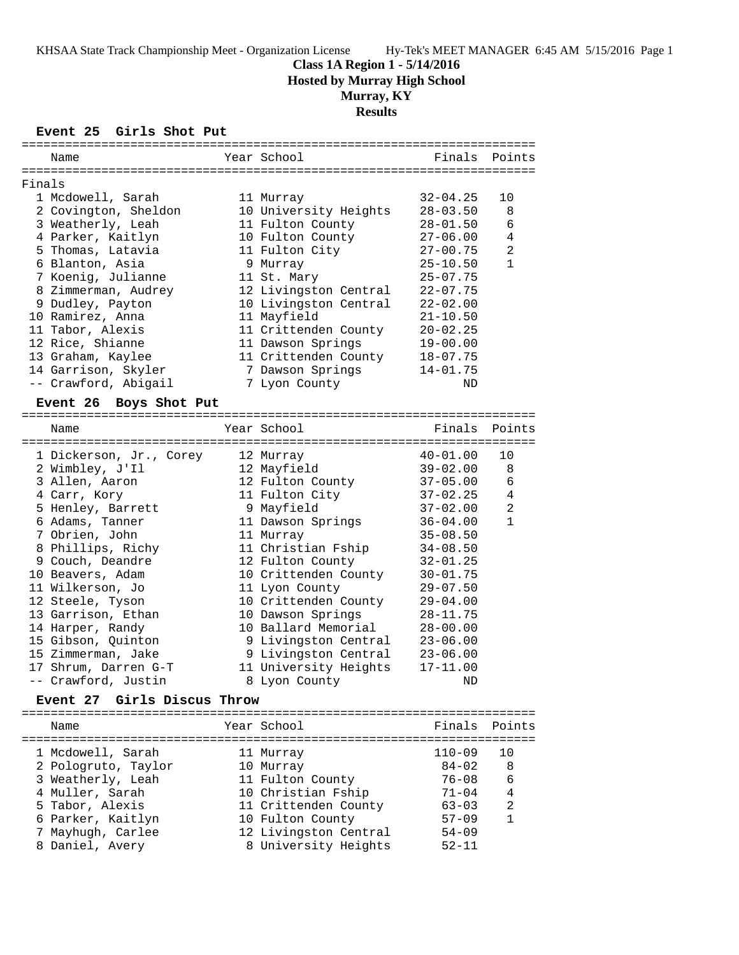## **Class 1A Region 1 - 5/14/2016**

**Hosted by Murray High School**

# **Murray, KY**

## **Results**

#### **Event 25 Girls Shot Put**

|        | Name                   | Year School           | Finals Points |                |
|--------|------------------------|-----------------------|---------------|----------------|
|        |                        |                       |               |                |
| Finals |                        |                       |               |                |
|        | 1 Mcdowell, Sarah      | 11 Murray             | 32-04.25      | 10             |
|        | 2 Covington, Sheldon   | 10 University Heights | $28 - 03.50$  | 8              |
|        | 3 Weatherly, Leah      | 11 Fulton County      | $28 - 01.50$  | 6              |
|        | 4 Parker, Kaitlyn      | 10 Fulton County      | $27 - 06.00$  | 4              |
|        | 5 Thomas, Latavia      | 11 Fulton City        | $27 - 00.75$  | $\overline{2}$ |
|        | 6 Blanton, Asia        | 9 Murray              | $25 - 10.50$  | $\mathbf{1}$   |
|        | 7 Koenig, Julianne     | 11 St. Mary           | $25 - 07.75$  |                |
|        | 8 Zimmerman, Audrey    | 12 Livingston Central | $22 - 07.75$  |                |
|        | 9 Dudley, Payton       | 10 Livingston Central | $22 - 02.00$  |                |
|        | 10 Ramirez, Anna       | 11 Mayfield           | $21 - 10.50$  |                |
|        | 11 Tabor, Alexis       | 11 Crittenden County  | $20 - 02.25$  |                |
|        | 12 Rice, Shianne       | 11 Dawson Springs     | $19 - 00.00$  |                |
|        | 13 Graham, Kaylee      | 11 Crittenden County  | $18 - 07.75$  |                |
|        | 14 Garrison, Skyler    | 7 Dawson Springs      | $14 - 01.75$  |                |
|        | -- Crawford, Abigail   | 7 Lyon County         | ND            |                |
|        | Event 26 Boys Shot Put |                       |               |                |
|        |                        |                       |               |                |

| Name                    | Year School           | Finals       | Points       |
|-------------------------|-----------------------|--------------|--------------|
| 1 Dickerson, Jr., Corey | 12 Murray             | $40 - 01.00$ | 10           |
| 2 Wimbley, J'Il         | 12 Mayfield           | $39 - 02.00$ | 8            |
| 3 Allen, Aaron          | 12 Fulton County      | $37 - 05.00$ | 6            |
| 4 Carr, Kory            | 11 Fulton City        | $37 - 02.25$ | 4            |
| 5 Henley, Barrett       | 9 Mayfield            | $37 - 02.00$ | 2            |
| 6 Adams, Tanner         | 11 Dawson Springs     | 36-04.00     | $\mathbf{1}$ |
| 7 Obrien, John          | 11 Murray             | $35 - 08.50$ |              |
| 8 Phillips, Richy       | 11 Christian Fship    | $34 - 08.50$ |              |
| 9 Couch, Deandre        | 12 Fulton County      | $32 - 01.25$ |              |
| 10 Beavers, Adam        | 10 Crittenden County  | $30 - 01.75$ |              |
| 11 Wilkerson, Jo        | 11 Lyon County        | $29 - 07.50$ |              |
| 12 Steele, Tyson        | 10 Crittenden County  | $29 - 04.00$ |              |
| 13 Garrison, Ethan      | 10 Dawson Springs     | $28 - 11.75$ |              |
| 14 Harper, Randy        | 10 Ballard Memorial   | $28 - 00.00$ |              |
| 15 Gibson, Quinton      | 9 Livingston Central  | $23 - 06.00$ |              |
| 15 Zimmerman, Jake      | 9 Livingston Central  | $23 - 06.00$ |              |
| 17 Shrum, Darren G-T    | 11 University Heights | $17 - 11.00$ |              |
| -- Crawford, Justin     | 8 Lyon County         | ND           |              |
|                         |                       |              |              |

## **Event 27 Girls Discus Throw**

| Name                | Year School           | Finals Points |                |
|---------------------|-----------------------|---------------|----------------|
| 1 Mcdowell, Sarah   | 11 Murray             | $110 - 09$    | 10             |
| 2 Pologruto, Taylor | 10 Murray             | $84 - 02$     | -8             |
| 3 Weatherly, Leah   | 11 Fulton County      | $76 - 08$     | 6              |
| 4 Muller, Sarah     | 10 Christian Fship    | $71 - 04$     | 4              |
| 5 Tabor, Alexis     | 11 Crittenden County  | $63 - 03$     | $\overline{2}$ |
| 6 Parker, Kaitlyn   | 10 Fulton County      | $57 - 09$     | $\overline{1}$ |
| 7 Mayhugh, Carlee   | 12 Livingston Central | $54 - 09$     |                |
| 8 Daniel, Avery     | 8 University Heights  | $52 - 11$     |                |
|                     |                       |               |                |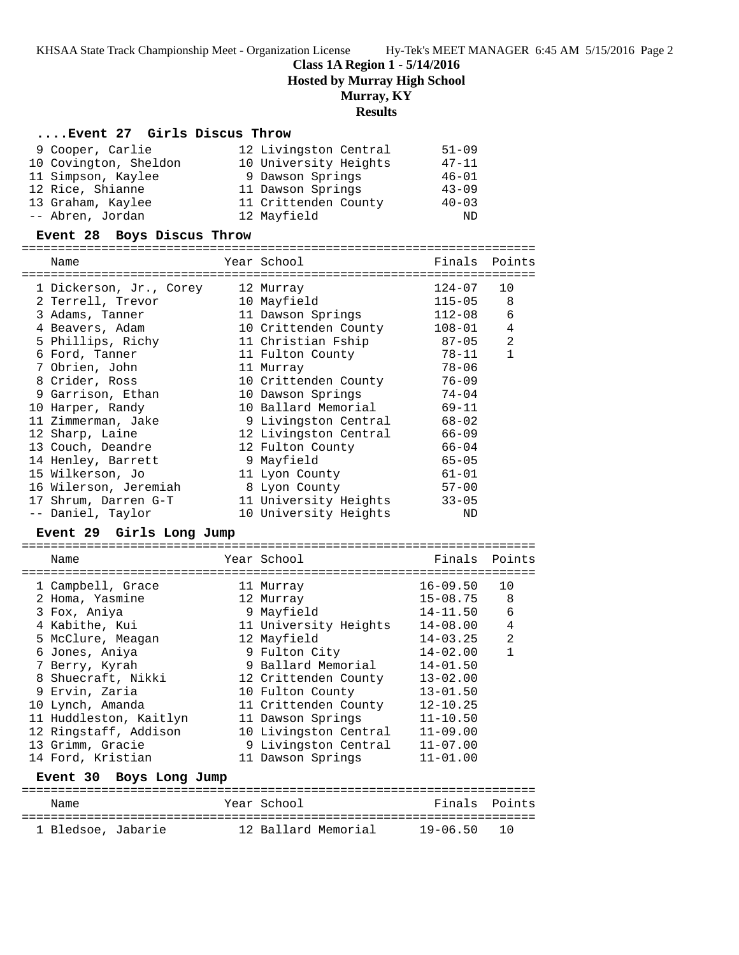#### **Class 1A Region 1 - 5/14/2016**

**Hosted by Murray High School**

## **Murray, KY**

## **Results**

#### **....Event 27 Girls Discus Throw**

| 9 Cooper, Carlie      | 12 Livingston Central | $51 - 09$ |
|-----------------------|-----------------------|-----------|
| 10 Covington, Sheldon | 10 University Heights | $47 - 11$ |
| 11 Simpson, Kaylee    | 9 Dawson Springs      | $46 - 01$ |
| 12 Rice, Shianne      | 11 Dawson Springs     | $43 - 09$ |
| 13 Graham, Kaylee     | 11 Crittenden County  | $40 - 03$ |
| -- Abren, Jordan      | 12 Mayfield           | ND        |

#### **Event 28 Boys Discus Throw**

======================================================================= Name **The Year School** Finals Points

| 1 Dickerson, Jr., Corey | 12 Murray             | 124-07     | 10           |
|-------------------------|-----------------------|------------|--------------|
| 2 Terrell, Trevor       | 10 Mayfield           | $115 - 05$ | 8            |
| 3 Adams, Tanner         | 11 Dawson Springs     | 112-08     | 6            |
| 4 Beavers, Adam         | 10 Crittenden County  | 108-01     | 4            |
| 5 Phillips, Richy       | 11 Christian Fship    | $87 - 05$  | 2            |
| 6 Ford, Tanner          | 11 Fulton County      | 78–11      | $\mathbf{1}$ |
| 7 Obrien, John          | 11 Murray             | $78 - 06$  |              |
| 8 Crider, Ross          | 10 Crittenden County  | $76 - 09$  |              |
| 9 Garrison, Ethan       | 10 Dawson Springs     | 74-04      |              |
| 10 Harper, Randy        | 10 Ballard Memorial   | $69 - 11$  |              |
| 11 Zimmerman, Jake      | 9 Livingston Central  | $68 - 02$  |              |
| 12 Sharp, Laine         | 12 Livingston Central | $66 - 09$  |              |
| 13 Couch, Deandre       | 12 Fulton County      | $66 - 04$  |              |
| 14 Henley, Barrett      | 9 Mayfield            | $65 - 05$  |              |
| 15 Wilkerson, Jo        | 11 Lyon County        | $61 - 01$  |              |
| 16 Wilerson, Jeremiah   | 8 Lyon County         | $57 - 00$  |              |
| 17 Shrum, Darren G-T    | 11 University Heights | $33 - 05$  |              |
| -- Daniel, Taylor       | 10 University Heights | ND         |              |
|                         |                       |            |              |

#### **Event 29 Girls Long Jump**

| Name                   | Year School           | Finals       | Points |
|------------------------|-----------------------|--------------|--------|
|                        |                       |              |        |
| 1 Campbell, Grace      | 11 Murray             | $16 - 09.50$ | 10     |
| 2 Homa, Yasmine        | 12 Murray             | $15 - 08.75$ | 8      |
| 3 Fox, Aniya           | 9 Mayfield            | $14 - 11.50$ | 6      |
| 4 Kabithe, Kui         | 11 University Heights | $14 - 08.00$ | 4      |
| 5 McClure, Meagan      | 12 Mayfield           | $14 - 03.25$ | 2      |
| 6 Jones, Aniya         | 9 Fulton City         | $14 - 02.00$ |        |
| 7 Berry, Kyrah         | 9 Ballard Memorial    | $14 - 01.50$ |        |
| 8 Shuecraft, Nikki     | 12 Crittenden County  | $13 - 02.00$ |        |
| 9 Ervin, Zaria         | 10 Fulton County      | $13 - 01.50$ |        |
| 10 Lynch, Amanda       | 11 Crittenden County  | $12 - 10.25$ |        |
| 11 Huddleston, Kaitlyn | 11 Dawson Springs     | $11 - 10.50$ |        |
| 12 Ringstaff, Addison  | 10 Livingston Central | $11 - 09.00$ |        |
| 13 Grimm, Gracie       | 9 Livingston Central  | $11 - 07.00$ |        |
| 14 Ford, Kristian      | 11 Dawson Springs     | $11 - 01.00$ |        |
|                        |                       |              |        |

#### **Event 30 Boys Long Jump**

======================================================================= Name Year School Finals Points ======================================================================= 1 Bledsoe, Jabarie 12 Ballard Memorial 19-06.50 10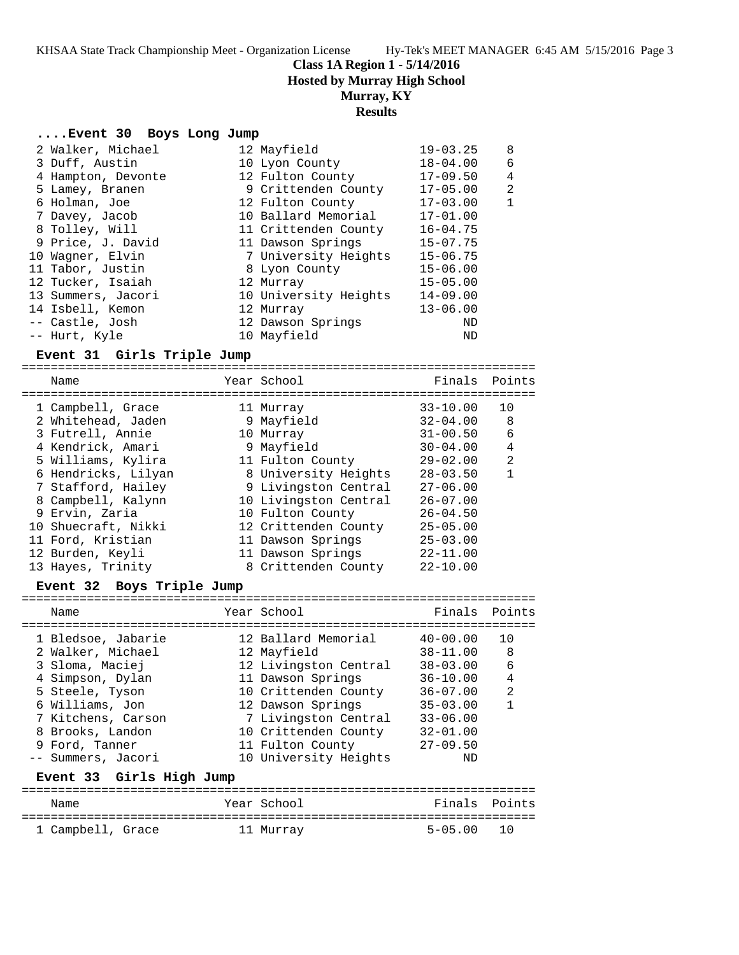**Class 1A Region 1 - 5/14/2016**

**Hosted by Murray High School**

## **Murray, KY**

### **Results**

#### **....Event 30 Boys Long Jump**

| 2 Walker, Michael  |  | $19 - 03.25$                                                                                                                                                                                                                                                                                     | 8            |
|--------------------|--|--------------------------------------------------------------------------------------------------------------------------------------------------------------------------------------------------------------------------------------------------------------------------------------------------|--------------|
| 3 Duff, Austin     |  | $18 - 04.00$                                                                                                                                                                                                                                                                                     | 6            |
| 4 Hampton, Devonte |  | $17 - 09.50$                                                                                                                                                                                                                                                                                     | 4            |
| 5 Lamey, Branen    |  | $17 - 05.00$                                                                                                                                                                                                                                                                                     | 2            |
| 6 Holman, Joe      |  | $17 - 03.00$                                                                                                                                                                                                                                                                                     | $\mathbf{1}$ |
| 7 Davey, Jacob     |  | $17 - 01.00$                                                                                                                                                                                                                                                                                     |              |
| 8 Tolley, Will     |  | $16 - 04.75$                                                                                                                                                                                                                                                                                     |              |
| 9 Price, J. David  |  | $15 - 07.75$                                                                                                                                                                                                                                                                                     |              |
| 10 Wagner, Elvin   |  | $15 - 06.75$                                                                                                                                                                                                                                                                                     |              |
| 11 Tabor, Justin   |  | $15 - 06.00$                                                                                                                                                                                                                                                                                     |              |
| 12 Tucker, Isaiah  |  | $15 - 05.00$                                                                                                                                                                                                                                                                                     |              |
| 13 Summers, Jacori |  | $14 - 09.00$                                                                                                                                                                                                                                                                                     |              |
| 14 Isbell, Kemon   |  | $13 - 06.00$                                                                                                                                                                                                                                                                                     |              |
| -- Castle, Josh    |  | ND                                                                                                                                                                                                                                                                                               |              |
| -- Hurt, Kyle      |  | ND                                                                                                                                                                                                                                                                                               |              |
|                    |  | 12 Mayfield<br>10 Lyon County<br>12 Fulton County<br>9 Crittenden County<br>12 Fulton County<br>10 Ballard Memorial<br>11 Crittenden County<br>11 Dawson Springs<br>7 University Heights<br>8 Lyon County<br>12 Murray<br>10 University Heights<br>12 Murray<br>12 Dawson Springs<br>10 Mayfield |              |

#### **Event 31 Girls Triple Jump**

======================================================================= Name The Year School The Finals Points ======================================================================= 1 Campbell, Grace 11 Murray 33-10.00 10 2 Whitehead, Jaden 9 Mayfield 32-04.00 8 3 Futrell, Annie 10 Murray 31-00.50 6 4 Kendrick, Amari 9 Mayfield 30-04.00 4 5 Williams, Kylira 11 Fulton County 29-02.00 2 6 Hendricks, Lilyan 8 University Heights 28-03.50 1 7 Stafford, Hailey 9 Livingston Central 27-06.00 8 Campbell, Kalynn 10 Livingston Central 26-07.00 9 Ervin, Zaria 10 Fulton County 26-04.50 10 Shuecraft, Nikki 12 Crittenden County 25-05.00 11 Ford, Kristian 11 Dawson Springs 25-03.00 12 Burden, Keyli 11 Dawson Springs 22-11.00 13 Hayes, Trinity 8 Crittenden County 22-10.00

#### **Event 32 Boys Triple Jump**

| Name                                                                                                                                                           | Year School                                                                                                                                                                   | Finals Points                                                                                                                |                              |
|----------------------------------------------------------------------------------------------------------------------------------------------------------------|-------------------------------------------------------------------------------------------------------------------------------------------------------------------------------|------------------------------------------------------------------------------------------------------------------------------|------------------------------|
| 1 Bledsoe, Jabarie<br>2 Walker, Michael<br>3 Sloma, Maciej<br>4 Simpson, Dylan<br>5 Steele, Tyson<br>6 Williams, Jon<br>7 Kitchens, Carson<br>8 Brooks, Landon | 12 Ballard Memorial<br>12 Mayfield<br>12 Livingston Central<br>11 Dawson Springs<br>10 Crittenden County<br>12 Dawson Springs<br>7 Livingston Central<br>10 Crittenden County | $40 - 00.00$<br>$38 - 11.00$<br>$38 - 03.00$<br>$36 - 10.00$<br>$36 - 07.00$<br>$35 - 03.00$<br>$33 - 06.00$<br>$32 - 01.00$ | 1 O<br>8<br>6<br>4<br>2<br>1 |
| 9 Ford, Tanner<br>-- Summers, Jacori<br>Event 33 Girls High Jump                                                                                               | 11 Fulton County<br>10 University Heights                                                                                                                                     | $27 - 09.50$<br>ND                                                                                                           |                              |
| Name                                                                                                                                                           | Year School                                                                                                                                                                   | Finals                                                                                                                       | Points                       |

======================================================================= 1 Campbell, Grace 11 Murray 5-05.00 10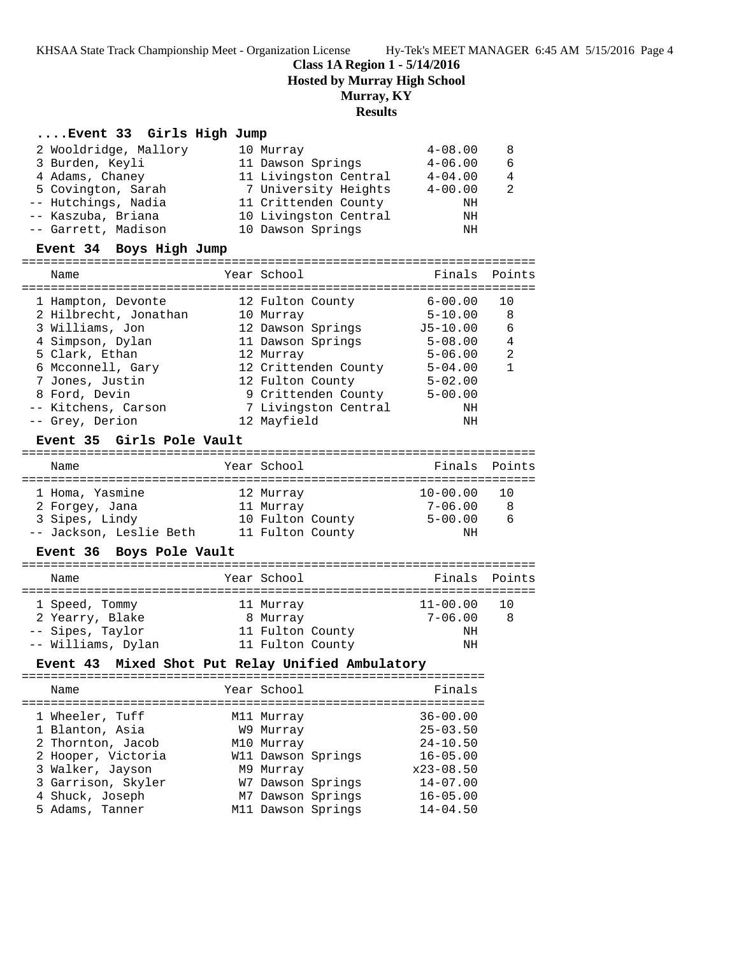## **Class 1A Region 1 - 5/14/2016**

**Hosted by Murray High School**

## **Murray, KY**

## **Results**

#### **....Event 33 Girls High Jump**

| 2 Wooldridge, Mallory | 10 Murray             | $4 - 08.00$ | 8 |
|-----------------------|-----------------------|-------------|---|
| 3 Burden, Keyli       | 11 Dawson Springs     | $4 - 06.00$ | 6 |
| 4 Adams, Chaney       | 11 Livingston Central | $4 - 04.00$ | 4 |
| 5 Covington, Sarah    | 7 University Heights  | $4 - 00.00$ | 2 |
| -- Hutchings, Nadia   | 11 Crittenden County  | ΝH          |   |
| -- Kaszuba, Briana    | 10 Livingston Central | ΝH          |   |
| -- Garrett, Madison   | 10 Dawson Springs     | ΝH          |   |
|                       |                       |             |   |

#### **Event 34 Boys High Jump**

| Name                  | Year School          | Finals Points |                |
|-----------------------|----------------------|---------------|----------------|
| 1 Hampton, Devonte    | 12 Fulton County     | $6 - 00.00$   | 10             |
| 2 Hilbrecht, Jonathan | 10 Murray            | $5 - 10.00$   | 8              |
| 3 Williams, Jon       | 12 Dawson Springs    | $J5 - 10.00$  | 6              |
| 4 Simpson, Dylan      | 11 Dawson Springs    | $5 - 08.00$   | $\overline{4}$ |
| 5 Clark, Ethan        | 12 Murray            | $5 - 06.00$   | 2              |
| 6 Mcconnell, Gary     | 12 Crittenden County | $5 - 04.00$   | 1              |
| 7 Jones, Justin       | 12 Fulton County     | $5 - 02.00$   |                |
| 8 Ford, Devin         | 9 Crittenden County  | $5 - 00.00$   |                |
| -- Kitchens, Carson   | 7 Livingston Central | ΝH            |                |
| -- Grey, Derion       | 12 Mayfield          | ΝH            |                |

#### **Event 35 Girls Pole Vault**

#### ======================================================================= Name The Year School Team Points Points ======================================================================= 1 Homa, Yasmine 12 Murray 10-00.00 10 2 Forgey, Jana 11 Murray 7-06.00 8 3 Sipes, Lindy 10 Fulton County 5-00.00 6 -- Jackson, Leslie Beth 11 Fulton County NH

#### **Event 36 Boys Pole Vault**

| Name               | Year School      |              | Finals Points |
|--------------------|------------------|--------------|---------------|
|                    |                  |              |               |
| 1 Speed, Tommy     | 11 Murray        | $11 - 00.00$ | - 10          |
| 2 Yearry, Blake    | 8 Murray         | $7 - 06.00$  | -8            |
| -- Sipes, Taylor   | 11 Fulton County | ΝH           |               |
| -- Williams, Dylan | 11 Fulton County | ΝH           |               |

## **Event 43 Mixed Shot Put Relay Unified Ambulatory**

| Finals<br>Year School<br>Name<br>$36 - 00.00$<br>1 Wheeler, Tuff<br>M11 Murray<br>$25 - 03.50$<br>1 Blanton, Asia<br>W9 Murray<br>$24 - 10.50$<br>2 Thornton, Jacob<br>M10 Murray<br>2 Hooper, Victoria<br>W11 Dawson Springs<br>$16 - 05.00$<br>3 Walker, Jayson<br>$x23 - 08.50$<br>M9 Murray<br>3 Garrison, Skyler<br>$14 - 07.00$<br>W7 Dawson Springs<br>M7 Dawson Springs<br>4 Shuck, Joseph<br>$16 - 05.00$ |                 |  |              |
|--------------------------------------------------------------------------------------------------------------------------------------------------------------------------------------------------------------------------------------------------------------------------------------------------------------------------------------------------------------------------------------------------------------------|-----------------|--|--------------|
|                                                                                                                                                                                                                                                                                                                                                                                                                    |                 |  |              |
| M11 Dawson Springs                                                                                                                                                                                                                                                                                                                                                                                                 | 5 Adams, Tanner |  | $14 - 04.50$ |